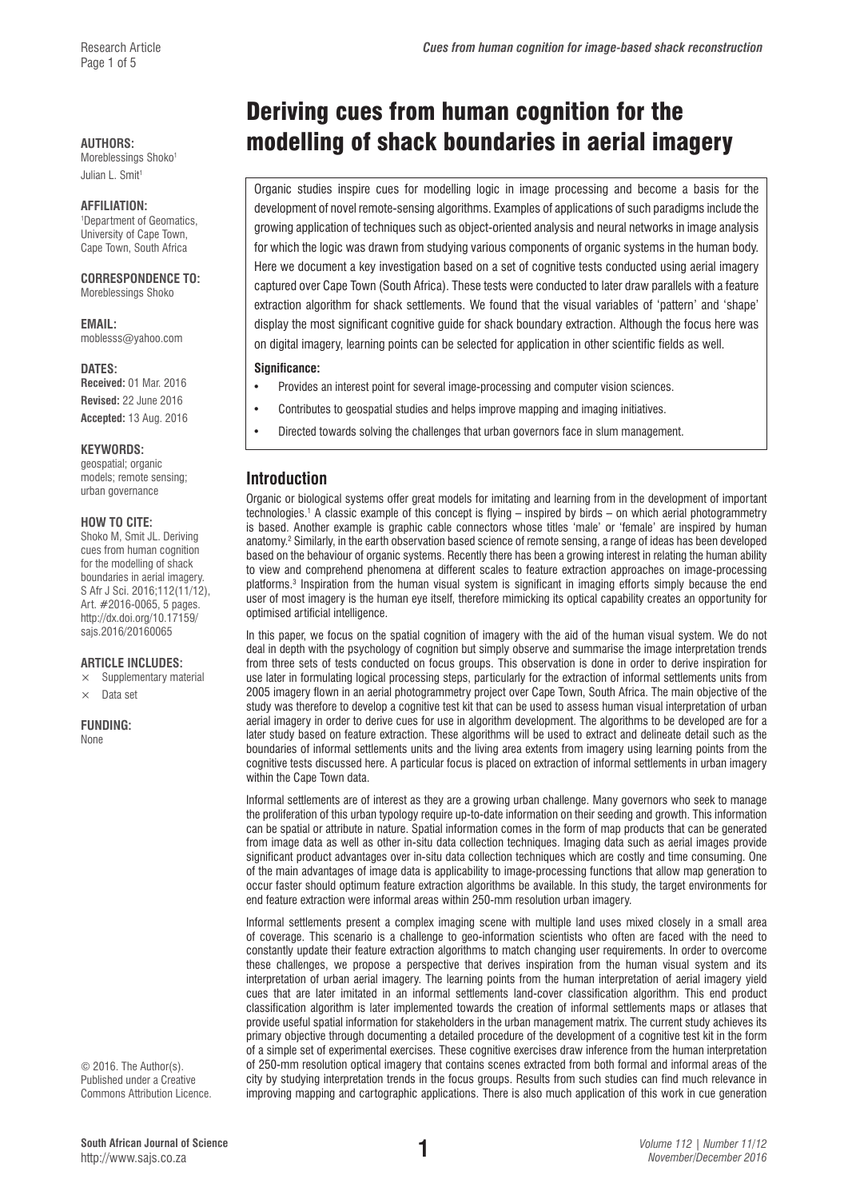Julian L. Smit<sup>1</sup>

#### **AFFILIATION:**

1 Department of Geomatics, University of Cape Town, Cape Town, South Africa

#### **CORRESPONDENCE TO:**  Moreblessings Shoko

**EMAIL:**  [moblesss@yahoo.com](mailto:moblesss@yahoo.com)

**DATES: Received:** 01 Mar. 2016 **Revised:** 22 June 2016 **Accepted:** 13 Aug. 2016

#### **KEYWORDS:**

geospatial; organic models; remote sensing; urban governance

#### **HOW TO CITE:**

Shoko M, Smit JL. Deriving cues from human cognition for the modelling of shack boundaries in aerial imagery. S Afr J Sci. 2016;112(11/12), Art. #2016-0065, 5 pages. [http://dx.doi.org/10.17159/](http://dx.doi.org/10.17159/sajs.2016/20160065) [sajs.2016/20160065](http://dx.doi.org/10.17159/sajs.2016/20160065)

#### **ARTICLE INCLUDES:**

 $\times$  Supplementary material

 $\times$  Data set

#### **FUNDING:**

None

# Research Article *Cues from human cognition for image-based shack reconstruction*

# Deriving cues from human cognition for the AUTHORS: **MORE AUTHORS: modelling of shack boundaries in aerial imagery**

Organic studies inspire cues for modelling logic in image processing and become a basis for the development of novel remote-sensing algorithms. Examples of applications of such paradigms include the growing application of techniques such as object-oriented analysis and neural networks in image analysis for which the logic was drawn from studying various components of organic systems in the human body. Here we document a key investigation based on a set of cognitive tests conducted using aerial imagery captured over Cape Town (South Africa). These tests were conducted to later draw parallels with a feature extraction algorithm for shack settlements. We found that the visual variables of 'pattern' and 'shape' display the most significant cognitive guide for shack boundary extraction. Although the focus here was on digital imagery, learning points can be selected for application in other scientific fields as well.

#### **Significance:**

- Provides an interest point for several image-processing and computer vision sciences.
- Contributes to geospatial studies and helps improve mapping and imaging initiatives.
- Directed towards solving the challenges that urban governors face in slum management.

# **Introduction**

Organic or biological systems offer great models for imitating and learning from in the development of important technologies.1 A classic example of this concept is flying – inspired by birds – on which aerial photogrammetry is based. Another example is graphic cable connectors whose titles 'male' or 'female' are inspired by human anatomy.<sup>2</sup> Similarly, in the earth observation based science of remote sensing, a range of ideas has been developed based on the behaviour of organic systems. Recently there has been a growing interest in relating the human ability to view and comprehend phenomena at different scales to feature extraction approaches on image-processing platforms.3 Inspiration from the human visual system is significant in imaging efforts simply because the end user of most imagery is the human eye itself, therefore mimicking its optical capability creates an opportunity for optimised artificial intelligence.

In this paper, we focus on the spatial cognition of imagery with the aid of the human visual system. We do not deal in depth with the psychology of cognition but simply observe and summarise the image interpretation trends from three sets of tests conducted on focus groups. This observation is done in order to derive inspiration for use later in formulating logical processing steps, particularly for the extraction of informal settlements units from 2005 imagery flown in an aerial photogrammetry project over Cape Town, South Africa. The main objective of the study was therefore to develop a cognitive test kit that can be used to assess human visual interpretation of urban aerial imagery in order to derive cues for use in algorithm development. The algorithms to be developed are for a later study based on feature extraction. These algorithms will be used to extract and delineate detail such as the boundaries of informal settlements units and the living area extents from imagery using learning points from the cognitive tests discussed here. A particular focus is placed on extraction of informal settlements in urban imagery within the Cape Town data.

Informal settlements are of interest as they are a growing urban challenge. Many governors who seek to manage the proliferation of this urban typology require up-to-date information on their seeding and growth. This information can be spatial or attribute in nature. Spatial information comes in the form of map products that can be generated from image data as well as other in-situ data collection techniques. Imaging data such as aerial images provide significant product advantages over in-situ data collection techniques which are costly and time consuming. One of the main advantages of image data is applicability to image-processing functions that allow map generation to occur faster should optimum feature extraction algorithms be available. In this study, the target environments for end feature extraction were informal areas within 250-mm resolution urban imagery.

Informal settlements present a complex imaging scene with multiple land uses mixed closely in a small area of coverage. This scenario is a challenge to geo-information scientists who often are faced with the need to constantly update their feature extraction algorithms to match changing user requirements. In order to overcome these challenges, we propose a perspective that derives inspiration from the human visual system and its interpretation of urban aerial imagery. The learning points from the human interpretation of aerial imagery yield cues that are later imitated in an informal settlements land-cover classification algorithm. This end product classification algorithm is later implemented towards the creation of informal settlements maps or atlases that provide useful spatial information for stakeholders in the urban management matrix. The current study achieves its primary objective through documenting a detailed procedure of the development of a cognitive test kit in the form of a simple set of experimental exercises. These cognitive exercises draw inference from the human interpretation of 250-mm resolution optical imagery that contains scenes extracted from both formal and informal areas of the city by studying interpretation trends in the focus groups. Results from such studies can find much relevance in improving mapping and cartographic applications. There is also much application of this work in cue generation

© 2016. The Author(s). Published under a Creative Commons Attribution Licence.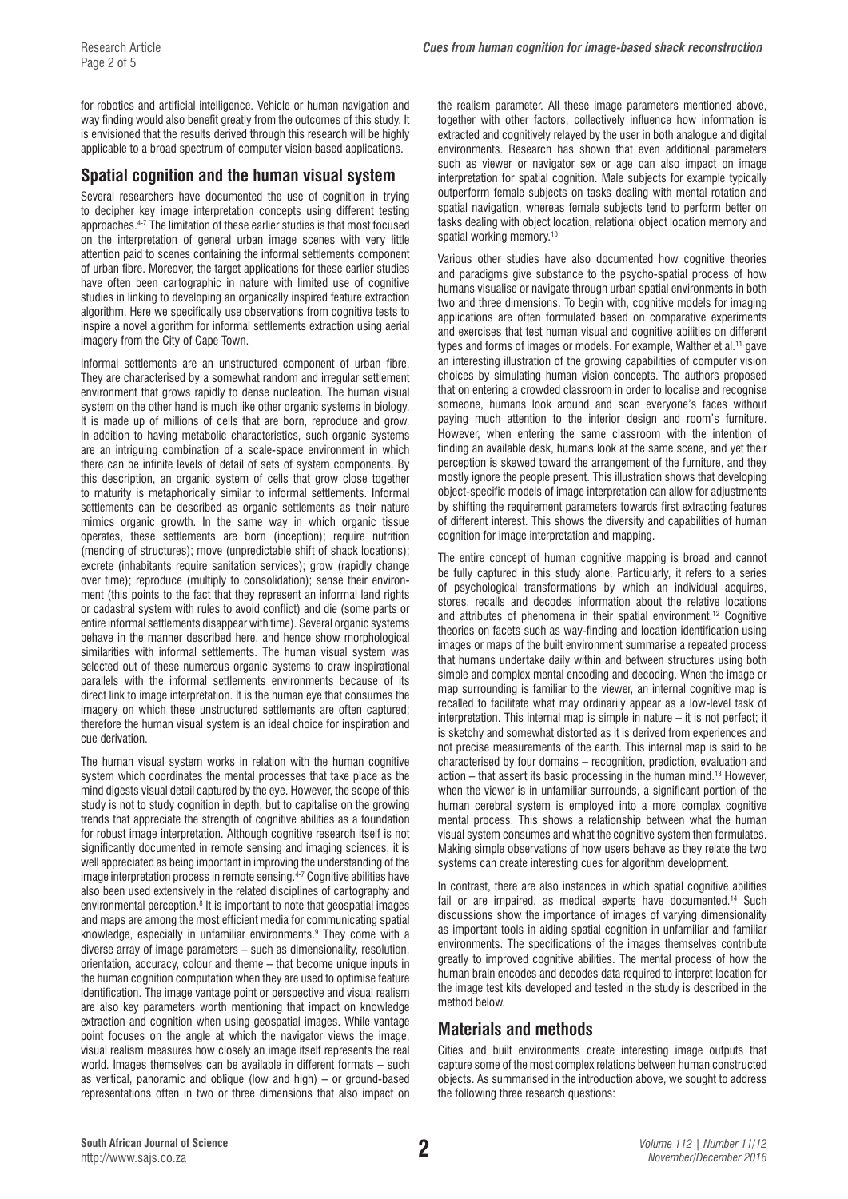for robotics and artificial intelligence. Vehicle or human navigation and way finding would also benefit greatly from the outcomes of this study. It is envisioned that the results derived through this research will be highly applicable to a broad spectrum of computer vision based applications.

# **Spatial cognition and the human visual system**

Several researchers have documented the use of cognition in trying to decipher key image interpretation concepts using different testing approaches.4-7 The limitation of these earlier studies is that most focused on the interpretation of general urban image scenes with very little attention paid to scenes containing the informal settlements component of urban fibre. Moreover, the target applications for these earlier studies have often been cartographic in nature with limited use of cognitive studies in linking to developing an organically inspired feature extraction algorithm. Here we specifically use observations from cognitive tests to inspire a novel algorithm for informal settlements extraction using aerial imagery from the City of Cape Town.

Informal settlements are an unstructured component of urban fibre. They are characterised by a somewhat random and irregular settlement environment that grows rapidly to dense nucleation. The human visual system on the other hand is much like other organic systems in biology. It is made up of millions of cells that are born, reproduce and grow. In addition to having metabolic characteristics, such organic systems are an intriguing combination of a scale-space environment in which there can be infinite levels of detail of sets of system components. By this description, an organic system of cells that grow close together to maturity is metaphorically similar to informal settlements. Informal settlements can be described as organic settlements as their nature mimics organic growth. In the same way in which organic tissue operates, these settlements are born (inception); require nutrition (mending of structures); move (unpredictable shift of shack locations); excrete (inhabitants require sanitation services); grow (rapidly change over time); reproduce (multiply to consolidation); sense their environment (this points to the fact that they represent an informal land rights or cadastral system with rules to avoid conflict) and die (some parts or entire informal settlements disappear with time). Several organic systems behave in the manner described here, and hence show morphological similarities with informal settlements. The human visual system was selected out of these numerous organic systems to draw inspirational parallels with the informal settlements environments because of its direct link to image interpretation. It is the human eye that consumes the imagery on which these unstructured settlements are often captured; therefore the human visual system is an ideal choice for inspiration and cue derivation.

The human visual system works in relation with the human cognitive system which coordinates the mental processes that take place as the mind digests visual detail captured by the eye. However, the scope of this study is not to study cognition in depth, but to capitalise on the growing trends that appreciate the strength of cognitive abilities as a foundation for robust image interpretation. Although cognitive research itself is not significantly documented in remote sensing and imaging sciences, it is well appreciated as being important in improving the understanding of the image interpretation process in remote sensing.<sup>4-7</sup> Cognitive abilities have also been used extensively in the related disciplines of cartography and environmental perception.<sup>8</sup> It is important to note that geospatial images and maps are among the most efficient media for communicating spatial knowledge, especially in unfamiliar environments.9 They come with a diverse array of image parameters – such as dimensionality, resolution, orientation, accuracy, colour and theme – that become unique inputs in the human cognition computation when they are used to optimise feature identification. The image vantage point or perspective and visual realism are also key parameters worth mentioning that impact on knowledge extraction and cognition when using geospatial images. While vantage point focuses on the angle at which the navigator views the image, visual realism measures how closely an image itself represents the real world. Images themselves can be available in different formats – such as vertical, panoramic and oblique (low and high) – or ground-based representations often in two or three dimensions that also impact on

the realism parameter. All these image parameters mentioned above, together with other factors, collectively influence how information is extracted and cognitively relayed by the user in both analogue and digital environments. Research has shown that even additional parameters such as viewer or navigator sex or age can also impact on image interpretation for spatial cognition. Male subjects for example typically outperform female subjects on tasks dealing with mental rotation and spatial navigation, whereas female subjects tend to perform better on tasks dealing with object location, relational object location memory and spatial working memory.<sup>10</sup>

Various other studies have also documented how cognitive theories and paradigms give substance to the psycho-spatial process of how humans visualise or navigate through urban spatial environments in both two and three dimensions. To begin with, cognitive models for imaging applications are often formulated based on comparative experiments and exercises that test human visual and cognitive abilities on different types and forms of images or models. For example, Walther et al.<sup>11</sup> gave an interesting illustration of the growing capabilities of computer vision choices by simulating human vision concepts. The authors proposed that on entering a crowded classroom in order to localise and recognise someone, humans look around and scan everyone's faces without paying much attention to the interior design and room's furniture. However, when entering the same classroom with the intention of finding an available desk, humans look at the same scene, and yet their perception is skewed toward the arrangement of the furniture, and they mostly ignore the people present. This illustration shows that developing object-specific models of image interpretation can allow for adjustments by shifting the requirement parameters towards first extracting features of different interest. This shows the diversity and capabilities of human cognition for image interpretation and mapping.

The entire concept of human cognitive mapping is broad and cannot be fully captured in this study alone. Particularly, it refers to a series of psychological transformations by which an individual acquires, stores, recalls and decodes information about the relative locations and attributes of phenomena in their spatial environment.12 Cognitive theories on facets such as way-finding and location identification using images or maps of the built environment summarise a repeated process that humans undertake daily within and between structures using both simple and complex mental encoding and decoding. When the image or map surrounding is familiar to the viewer, an internal cognitive map is recalled to facilitate what may ordinarily appear as a low-level task of interpretation. This internal map is simple in nature – it is not perfect; it is sketchy and somewhat distorted as it is derived from experiences and not precise measurements of the earth. This internal map is said to be characterised by four domains – recognition, prediction, evaluation and action  $-$  that assert its basic processing in the human mind.<sup>13</sup> However, when the viewer is in unfamiliar surrounds, a significant portion of the human cerebral system is employed into a more complex cognitive mental process. This shows a relationship between what the human visual system consumes and what the cognitive system then formulates. Making simple observations of how users behave as they relate the two systems can create interesting cues for algorithm development.

In contrast, there are also instances in which spatial cognitive abilities fail or are impaired, as medical experts have documented.<sup>14</sup> Such discussions show the importance of images of varying dimensionality as important tools in aiding spatial cognition in unfamiliar and familiar environments. The specifications of the images themselves contribute greatly to improved cognitive abilities. The mental process of how the human brain encodes and decodes data required to interpret location for the image test kits developed and tested in the study is described in the method below.

# **Materials and methods**

Cities and built environments create interesting image outputs that capture some of the most complex relations between human constructed objects. As summarised in the introduction above, we sought to address the following three research questions: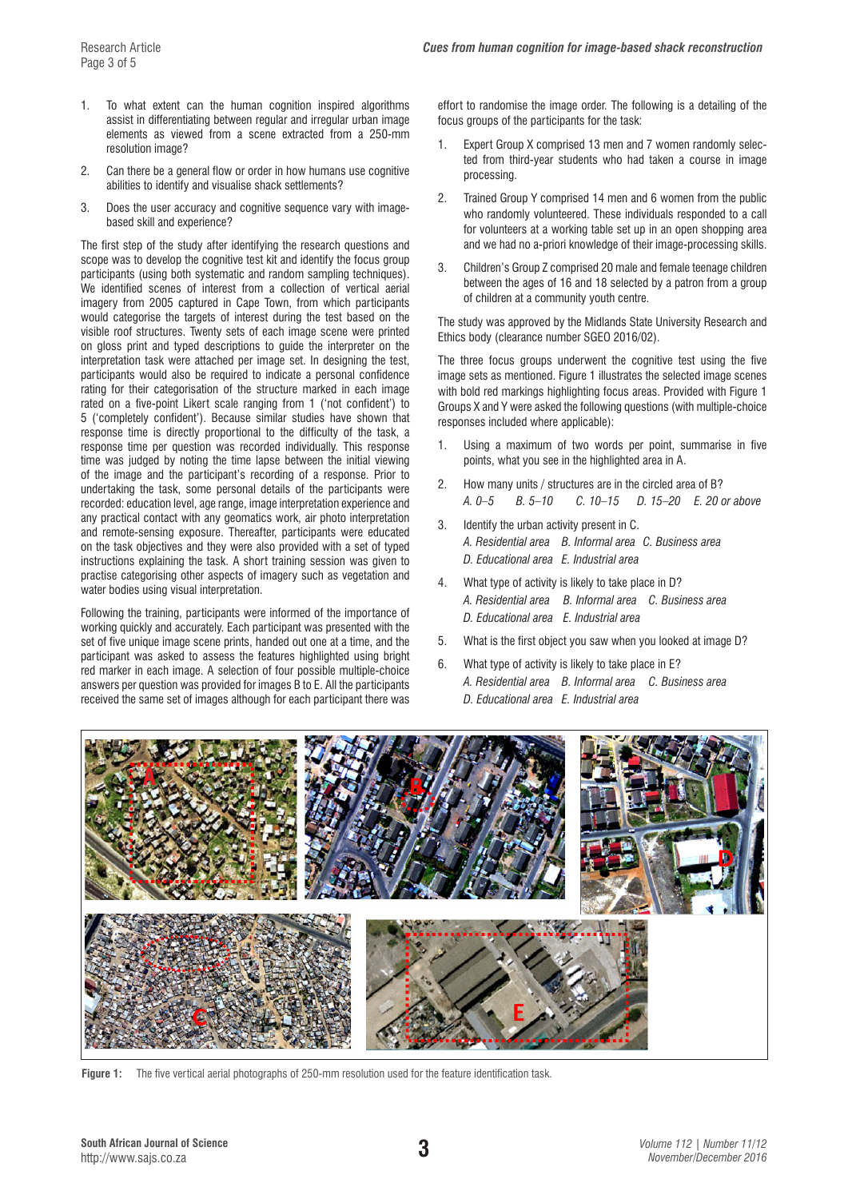- 1. To what extent can the human cognition inspired algorithms assist in differentiating between regular and irregular urban image elements as viewed from a scene extracted from a 250-mm resolution image?
- 2. Can there be a general flow or order in how humans use cognitive abilities to identify and visualise shack settlements?
- 3. Does the user accuracy and cognitive sequence vary with imagebased skill and experience?

The first step of the study after identifying the research questions and scope was to develop the cognitive test kit and identify the focus group participants (using both systematic and random sampling techniques). We identified scenes of interest from a collection of vertical aerial imagery from 2005 captured in Cape Town, from which participants would categorise the targets of interest during the test based on the visible roof structures. Twenty sets of each image scene were printed on gloss print and typed descriptions to guide the interpreter on the interpretation task were attached per image set. In designing the test, participants would also be required to indicate a personal confidence rating for their categorisation of the structure marked in each image rated on a five-point Likert scale ranging from 1 ('not confident') to 5 ('completely confident'). Because similar studies have shown that response time is directly proportional to the difficulty of the task, a response time per question was recorded individually. This response time was judged by noting the time lapse between the initial viewing of the image and the participant's recording of a response. Prior to undertaking the task, some personal details of the participants were recorded: education level, age range, image interpretation experience and any practical contact with any geomatics work, air photo interpretation and remote-sensing exposure. Thereafter, participants were educated on the task objectives and they were also provided with a set of typed instructions explaining the task. A short training session was given to practise categorising other aspects of imagery such as vegetation and water bodies using visual interpretation.

Following the training, participants were informed of the importance of working quickly and accurately. Each participant was presented with the set of five unique image scene prints, handed out one at a time, and the participant was asked to assess the features highlighted using bright red marker in each image. A selection of four possible multiple-choice answers per question was provided for images B to E. All the participants received the same set of images although for each participant there was

effort to randomise the image order. The following is a detailing of the focus groups of the participants for the task:

- 1. Expert Group X comprised 13 men and 7 women randomly selected from third-year students who had taken a course in image processing.
- 2. Trained Group Y comprised 14 men and 6 women from the public who randomly volunteered. These individuals responded to a call for volunteers at a working table set up in an open shopping area and we had no a-priori knowledge of their image-processing skills.
- 3. Children's Group Z comprised 20 male and female teenage children between the ages of 16 and 18 selected by a patron from a group of children at a community youth centre.

The study was approved by the Midlands State University Research and Ethics body (clearance number SGEO 2016/02).

The three focus groups underwent the cognitive test using the five image sets as mentioned. Figure 1 illustrates the selected image scenes with bold red markings highlighting focus areas. Provided with Figure 1 Groups X and Y were asked the following questions (with multiple-choice responses included where applicable):

- 1. Using a maximum of two words per point, summarise in five points, what you see in the highlighted area in A.
- 2. How many units / structures are in the circled area of B? *A. 0–5 B. 5–10 C. 10–15 D. 15–20 E. 20 or above*
- 3. Identify the urban activity present in C. *A. Residential area B. Informal area C. Business area D. Educational area E. Industrial area*
- 4. What type of activity is likely to take place in D? *A. Residential area B. Informal area C. Business area D. Educational area E. Industrial area*
- 5. What is the first object you saw when you looked at image D?
- 6. What type of activity is likely to take place in E? *A. Residential area B. Informal area C. Business area D. Educational area E. Industrial area*



**Figure 1:** The five vertical aerial photographs of 250-mm resolution used for the feature identification task.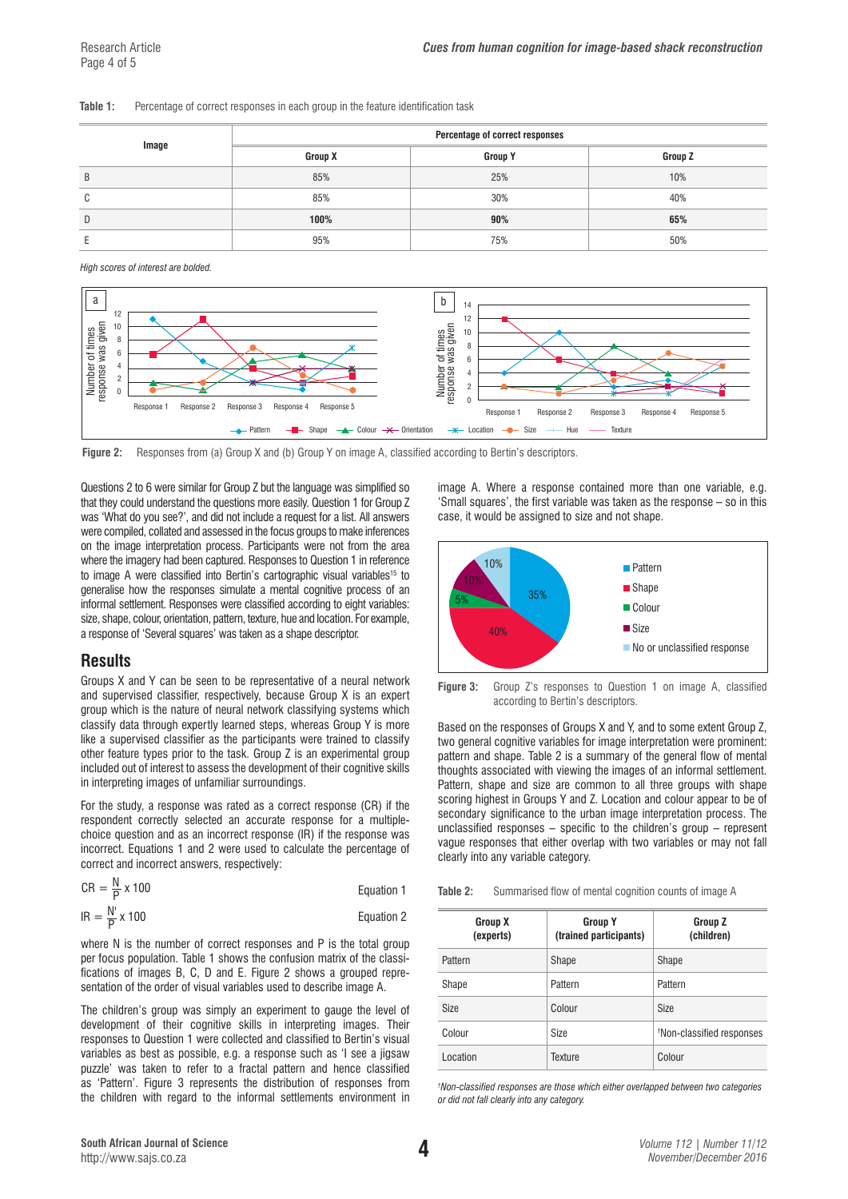#### **Table 1:** Percentage of correct responses in each group in the feature identification task

| Image  | Percentage of correct responses |                |         |  |
|--------|---------------------------------|----------------|---------|--|
|        | <b>Group X</b>                  | <b>Group Y</b> | Group Z |  |
| B      | 85%                             | 25%            | 10%     |  |
| ⌒<br>U | 85%                             | 30%            | 40%     |  |
| D      | 100%                            | 90%            | 65%     |  |
|        | 95%                             | 75%            | 50%     |  |

*High scores of interest are bolded.*



**Figure 2:** Responses from (a) Group X and (b) Group Y on image A, classified according to Bertin's descriptors.

Questions 2 to 6 were similar for Group Z but the language was simplified so that they could understand the questions more easily. Question 1 for Group Z was 'What do you see?', and did not include a request for a list. All answers were compiled, collated and assessed in the focus groups to make inferences on the image interpretation process. Participants were not from the area where the imagery had been captured. Responses to Question 1 in reference to image A were classified into Bertin's cartographic visual variables<sup>15</sup> to generalise how the responses simulate a mental cognitive process of an informal settlement. Responses were classified according to eight variables: size, shape, colour, orientation, pattern, texture, hue and location. For example, a response of 'Several squares' was taken as a shape descriptor.

## **Results**

Groups X and Y can be seen to be representative of a neural network and supervised classifier, respectively, because Group X is an expert group which is the nature of neural network classifying systems which classify data through expertly learned steps, whereas Group Y is more like a supervised classifier as the participants were trained to classify other feature types prior to the task. Group Z is an experimental group included out of interest to assess the development of their cognitive skills in interpreting images of unfamiliar surroundings.

For the study, a response was rated as a correct response (CR) if the respondent correctly selected an accurate response for a multiplechoice question and as an incorrect response (IR) if the response was incorrect. Equations 1 and 2 were used to calculate the percentage of correct and incorrect answers, respectively:

| $CR = \frac{N}{R} \times 100$ | Equation 1 |
|-------------------------------|------------|
|                               |            |

| $IR = \frac{N'}{R} \times 100$ | Equation 2 |
|--------------------------------|------------|
|--------------------------------|------------|

where N is the number of correct responses and P is the total group per focus population. Table 1 shows the confusion matrix of the classifications of images B, C, D and E. Figure 2 shows a grouped representation of the order of visual variables used to describe image A.

The children's group was simply an experiment to gauge the level of development of their cognitive skills in interpreting images. Their responses to Question 1 were collected and classified to Bertin's visual variables as best as possible, e.g. a response such as 'I see a jigsaw puzzle' was taken to refer to a fractal pattern and hence classified as 'Pattern'. Figure 3 represents the distribution of responses from the children with regard to the informal settlements environment in

image A. Where a response contained more than one variable, e.g. 'Small squares', the first variable was taken as the response – so in this case, it would be assigned to size and not shape.



**Figure 3:** Group Z's responses to Question 1 on image A, classified according to Bertin's descriptors.

Based on the responses of Groups X and Y, and to some extent Group Z, two general cognitive variables for image interpretation were prominent: pattern and shape. Table 2 is a summary of the general flow of mental thoughts associated with viewing the images of an informal settlement. Pattern, shape and size are common to all three groups with shape scoring highest in Groups Y and Z. Location and colour appear to be of secondary significance to the urban image interpretation process. The unclassified responses – specific to the children's group – represent vague responses that either overlap with two variables or may not fall clearly into any variable category.

**Table 2:** Summarised flow of mental cognition counts of image A

| <b>Group X</b><br>(experts) | Group Y<br>(trained participants) | Group Z<br>(children)                 |
|-----------------------------|-----------------------------------|---------------------------------------|
| Pattern                     | Shape                             | Shape                                 |
| Shape                       | Pattern                           | Pattern                               |
| Size                        | Colour                            | Size                                  |
| Colour                      | <b>Size</b>                       | <sup>†</sup> Non-classified responses |
| Location                    | Texture                           | Colour                                |

*† Non-classified responses are those which either overlapped between two categories or did not fall clearly into any category.*